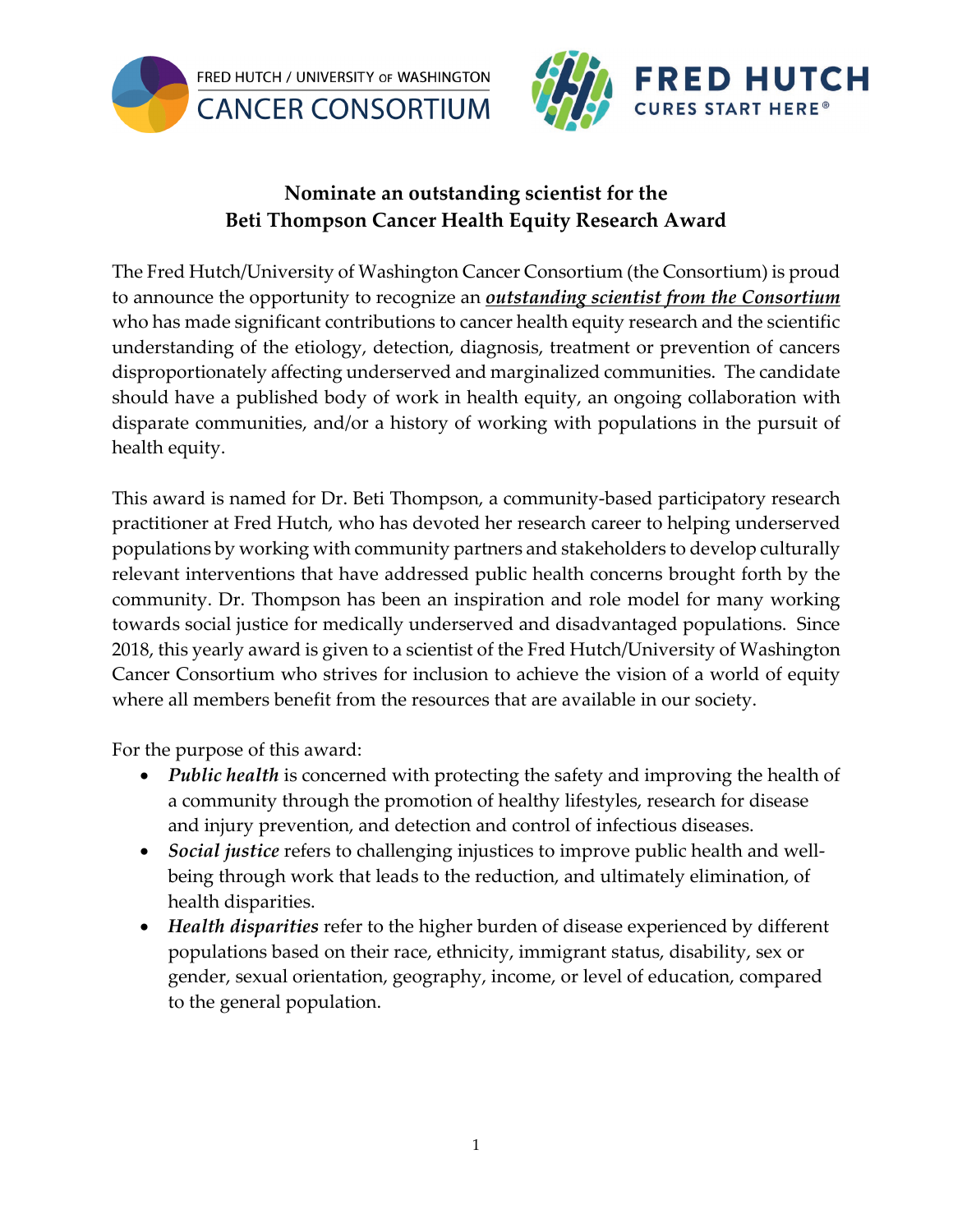



## **Nominate an outstanding scientist for the Beti Thompson Cancer Health Equity Research Award**

The Fred Hutch/University of Washington Cancer Consortium (the Consortium) is proud to announce the opportunity to recognize an *outstanding scientist from the Consortium* who has made significant contributions to cancer health equity research and the scientific understanding of the etiology, detection, diagnosis, treatment or prevention of cancers disproportionately affecting underserved and marginalized communities. The candidate should have a published body of work in health equity, an ongoing collaboration with disparate communities, and/or a history of working with populations in the pursuit of health equity.

This award is named for Dr. Beti Thompson, a community-based participatory research practitioner at Fred Hutch, who has devoted her research career to helping underserved populations by working with community partners and stakeholders to develop culturally relevant interventions that have addressed public health concerns brought forth by the community. Dr. Thompson has been an inspiration and role model for many working towards social justice for medically underserved and disadvantaged populations. Since 2018, this yearly award is given to a scientist of the Fred Hutch/University of Washington Cancer Consortium who strives for inclusion to achieve the vision of a world of equity where all members benefit from the resources that are available in our society.

For the purpose of this award:

- *Public health* is concerned with protecting the safety and improving the health of a community through the promotion of healthy lifestyles, research for disease and injury prevention, and detection and control of infectious diseases.
- *Social justice* refers to challenging injustices to improve public health and wellbeing through work that leads to the reduction, and ultimately elimination, of health disparities.
- *Health disparities* refer to the higher burden of disease experienced by different populations based on their race, ethnicity, immigrant status, disability, sex or gender, sexual orientation, geography, income, or level of education, compared to the general population.